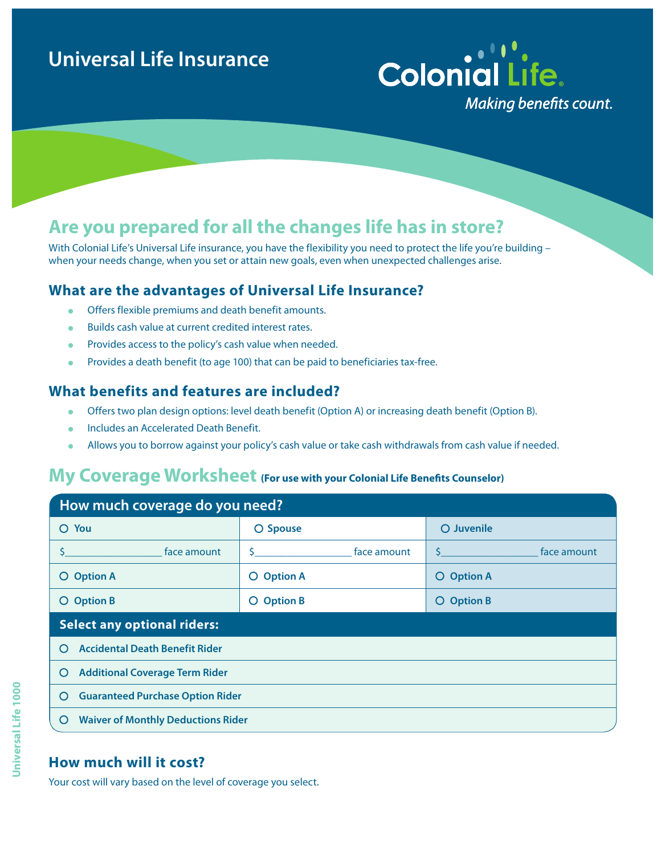# **Universal Life Insurance**

# **Colonial Life. Making benefits count.**

## **Are you prepared for all the changes life has in store?**

With Colonial Life's Universal Life insurance, you have the flexibility you need to protect the life you're building when your needs change, when you set or attain new goals, even when unexpected challenges arise.

#### **What are the advantages of Universal Life Insurance?**

- **In Offers flexible premiums and death benefit amounts.**
- **.** Builds cash value at current credited interest rates.
- Provides access to the policy's cash value when needed.
- **Provides a death benefit (to age 100) that can be paid to beneficiaries tax-free.**

#### **What benefits and features are included?**

- **IDED** Offers two plan design options: level death benefit (Option A) or increasing death benefit (Option B).
- **Includes an Accelerated Death Benefit.**
- Allows you to borrow against your policy's cash value or take cash withdrawals from cash value if needed.

### **My Coverage Worksheet (For use with your Colonial Life Benefits Counselor)**

| How much coverage do you need?                   |                             |                                                        |
|--------------------------------------------------|-----------------------------|--------------------------------------------------------|
| You<br>O                                         | O Spouse                    | O Juvenile                                             |
| face amount                                      | face amount<br>S.           | face amount<br>$\mathsf{S}$ and the state $\mathsf{S}$ |
| <b>Option A</b><br>O.                            | <b>Option A</b><br>$\Omega$ | <b>Option A</b><br>O                                   |
| <b>Option B</b><br>O.                            | <b>Option B</b><br>$\circ$  | <b>Option B</b><br>O                                   |
| <b>Select any optional riders:</b>               |                             |                                                        |
| <b>Accidental Death Benefit Rider</b><br>$\circ$ |                             |                                                        |
| <b>Additional Coverage Term Rider</b><br>O       |                             |                                                        |
| <b>Guaranteed Purchase Option Rider</b><br>O     |                             |                                                        |
|                                                  |                             |                                                        |

#### **How much will it cost?**

Your cost will vary based on the level of coverage you select.